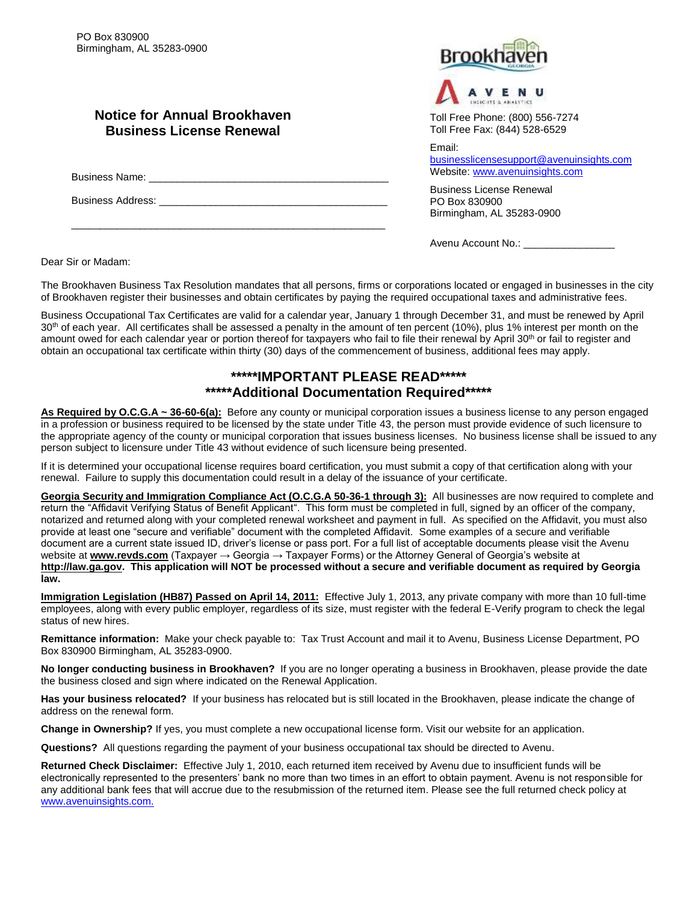## **Notice for Annual Brookhaven Business License Renewal**

Business Name:

\_\_\_\_\_\_\_\_\_\_\_\_\_\_\_\_\_\_\_\_\_\_\_\_\_\_\_\_\_\_\_\_\_\_\_\_\_\_\_\_\_\_\_\_\_\_\_\_\_\_\_\_\_\_\_

Business Address:





Toll Free Phone: (800) 556-7274 Toll Free Fax: (844) 528-6529

Email:

[businesslicensesupport@avenuinsights.com](mailto:businesslicensesupport@avenuinsights.com) Website: [www.avenuinsights.com](http://www.avenuinsights.com/)

Business License Renewal PO Box 830900 Birmingham, AL 35283-0900

Avenu Account No.:

Dear Sir or Madam:

The Brookhaven Business Tax Resolution mandates that all persons, firms or corporations located or engaged in businesses in the city of Brookhaven register their businesses and obtain certificates by paying the required occupational taxes and administrative fees.

Business Occupational Tax Certificates are valid for a calendar year, January 1 through December 31, and must be renewed by April 30<sup>th</sup> of each year. All certificates shall be assessed a penalty in the amount of ten percent (10%), plus 1% interest per month on the amount owed for each calendar year or portion thereof for taxpayers who fail to file their renewal by April 30<sup>th</sup> or fail to register and obtain an occupational tax certificate within thirty (30) days of the commencement of business, additional fees may apply.

## **\*\*\*\*\*IMPORTANT PLEASE READ\*\*\*\*\* \*\*\*\*\*Additional Documentation Required\*\*\*\*\***

**As Required by O.C.G.A ~ 36-60-6(a):** Before any county or municipal corporation issues a business license to any person engaged in a profession or business required to be licensed by the state under Title 43, the person must provide evidence of such licensure to the appropriate agency of the county or municipal corporation that issues business licenses. No business license shall be issued to any person subject to licensure under Title 43 without evidence of such licensure being presented.

If it is determined your occupational license requires board certification, you must submit a copy of that certification along with your renewal. Failure to supply this documentation could result in a delay of the issuance of your certificate.

**Georgia Security and Immigration Compliance Act (O.C.G.A 50-36-1 through 3):** All businesses are now required to complete and return the "Affidavit Verifying Status of Benefit Applicant". This form must be completed in full, signed by an officer of the company, notarized and returned along with your completed renewal worksheet and payment in full. As specified on the Affidavit, you must also provide at least one "secure and verifiable" document with the completed Affidavit. Some examples of a secure and verifiable document are a current state issued ID, driver's license or pass port. For a full list of acceptable documents please visit the Avenu website at **[www.revds.com](http://www.revds.com/)** (Taxpayer → Georgia → Taxpayer Forms) or the Attorney General of Georgia's website at **[http://law.ga.gov.](http://law.ga.gov/) This application will NOT be processed without a secure and verifiable document as required by Georgia law.**

**Immigration Legislation (HB87) Passed on April 14, 2011:** Effective July 1, 2013, any private company with more than 10 full-time employees, along with every public employer, regardless of its size, must register with the federal E-Verify program to check the legal status of new hires.

**Remittance information:** Make your check payable to: Tax Trust Account and mail it to Avenu, Business License Department, PO Box 830900 Birmingham, AL 35283-0900.

**No longer conducting business in Brookhaven?** If you are no longer operating a business in Brookhaven, please provide the date the business closed and sign where indicated on the Renewal Application.

**Has your business relocated?** If your business has relocated but is still located in the Brookhaven, please indicate the change of address on the renewal form.

**Change in Ownership?** If yes, you must complete a new occupational license form. Visit our website for an application.

**Questions?** All questions regarding the payment of your business occupational tax should be directed to Avenu.

**Returned Check Disclaimer:** Effective July 1, 2010, each returned item received by Avenu due to insufficient funds will be electronically represented to the presenters' bank no more than two times in an effort to obtain payment. Avenu is not responsible for any additional bank fees that will accrue due to the resubmission of the returned item. Please see the full returned check policy at [www.avenuinsights.com.](http://www.avenuinsights.com./)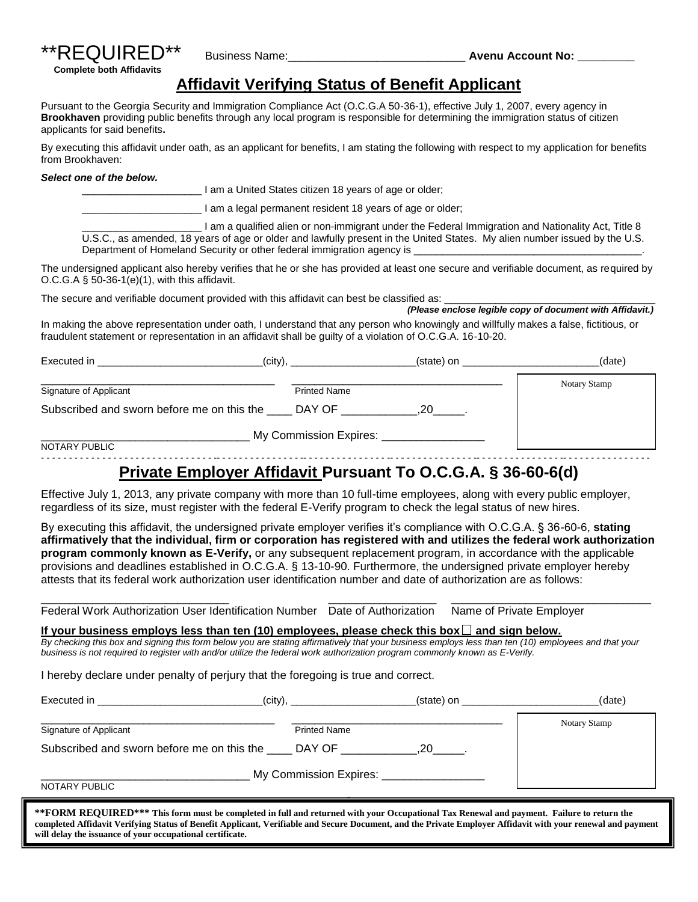

## **Affidavit Verifying Status of Benefit Applicant**

Pursuant to the Georgia Security and Immigration Compliance Act (O.C.G.A 50-36-1), effective July 1, 2007, every agency in **Brookhaven** providing public benefits through any local program is responsible for determining the immigration status of citizen applicants for said benefits**.**

By executing this affidavit under oath, as an applicant for benefits, I am stating the following with respect to my application for benefits from Brookhaven:

#### *Select one of the below.*

I am a United States citizen 18 years of age or older;

\_\_\_\_\_\_\_\_\_\_\_\_\_\_\_\_\_\_\_\_\_ I am a legal permanent resident 18 years of age or older;

\_\_\_\_\_\_\_\_\_\_\_\_\_\_\_\_\_\_\_\_\_ I am a qualified alien or non-immigrant under the Federal Immigration and Nationality Act, Title 8 U.S.C., as amended, 18 years of age or older and lawfully present in the United States. My alien number issued by the U.S. Department of Homeland Security or other federal immigration agency is

The undersigned applicant also hereby verifies that he or she has provided at least one secure and verifiable document, as required by O.C.G.A § 50-36-1(e)(1), with this affidavit.

The secure and verifiable document provided with this affidavit can best be classified as:  *(Please enclose legible copy of document with Affidavit.)*

In making the above representation under oath, I understand that any person who knowingly and willfully makes a false, fictitious, or fraudulent statement or representation in an affidavit shall be guilty of a violation of O.C.G.A. 16-10-20.

| Executed in                                             | (city),                                | (state) on | (date)       |
|---------------------------------------------------------|----------------------------------------|------------|--------------|
| Signature of Applicant                                  | <b>Printed Name</b>                    |            | Notary Stamp |
| Subscribed and sworn before me on this the _____ DAY OF |                                        |            |              |
| NOTARY PUBLIC                                           | My Commission Expires: _______________ |            |              |
|                                                         |                                        |            |              |

# **Private Employer Affidavit Pursuant To O.C.G.A. § 36-60-6(d)**

Effective July 1, 2013, any private company with more than 10 full-time employees, along with every public employer, regardless of its size, must register with the federal E-Verify program to check the legal status of new hires.

By executing this affidavit, the undersigned private employer verifies it's compliance with O.C.G.A. § 36-60-6, **stating affirmatively that the individual, firm or corporation has registered with and utilizes the federal work authorization program commonly known as E-Verify,** or any subsequent replacement program, in accordance with the applicable provisions and deadlines established in O.C.G.A. § 13-10-90. Furthermore, the undersigned private employer hereby attests that its federal work authorization user identification number and date of authorization are as follows:

\_\_\_\_\_\_\_\_\_\_\_\_\_\_\_\_\_\_\_\_\_\_\_\_\_\_\_\_\_\_\_\_\_ \_\_\_\_\_\_\_\_\_\_\_\_\_\_\_\_\_\_\_ \_\_\_\_\_\_\_\_\_\_\_\_\_\_\_\_\_\_\_\_\_\_\_\_\_\_\_\_\_\_\_\_\_\_\_

Federal Work Authorization User Identification Number Date of Authorization Name of Private Employer

#### If your business employs less than ten  $(10)$  employees, please check this box  $\Box$  and sign below.

*By checking this box and signing this form below you are stating affirmatively that your business employs less than ten (10) employees and that your business is not required to register with and/or utilize the federal work authorization program commonly known as E-Verify.* 

I hereby declare under penalty of perjury that the foregoing is true and correct.

| Executed in                                                  | (city),             | (state) on | (date)       |
|--------------------------------------------------------------|---------------------|------------|--------------|
| Signature of Applicant                                       | <b>Printed Name</b> |            | Notary Stamp |
| Subscribed and sworn before me on this the                   | DAY OF              | 20         |              |
| My Commission Expires: ____________________<br>NOTARY PUBLIC |                     |            |              |

**\*\*FORM REQUIRED\*\*\* This form must be completed in full and returned with your Occupational Tax Renewal and payment. Failure to return the completed Affidavit Verifying Status of Benefit Applicant, Verifiable and Secure Document, and the Private Employer Affidavit with your renewal and payment will delay the issuance of your occupational certificate.**